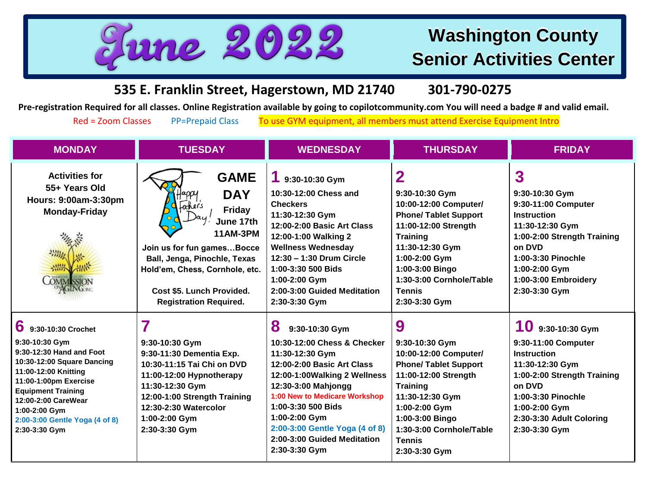

## **Washington County Senior Activities Center**

**535 E. Franklin Street, Hagerstown, MD 21740 301-790-0275**

**Pre-registration Required for all classes. Online Registration available by going to copilotcommunity.com You will need a badge # and valid email.** 

Red = Zoom Classes PP=Prepaid Class To use GYM equipment, all members must attend Exercise Equipment Intro

| <b>MONDAY</b>                                                                                                                                                                                                                                                                                                   | <b>TUESDAY</b>                                                                                                                                                                                                                                      | <b>WEDNESDAY</b>                                                                                                                                                                                                                                                                                                       | <b>THURSDAY</b>                                                                                                                                                                                                                              | <b>FRIDAY</b>                                                                                                                                                                                                    |
|-----------------------------------------------------------------------------------------------------------------------------------------------------------------------------------------------------------------------------------------------------------------------------------------------------------------|-----------------------------------------------------------------------------------------------------------------------------------------------------------------------------------------------------------------------------------------------------|------------------------------------------------------------------------------------------------------------------------------------------------------------------------------------------------------------------------------------------------------------------------------------------------------------------------|----------------------------------------------------------------------------------------------------------------------------------------------------------------------------------------------------------------------------------------------|------------------------------------------------------------------------------------------------------------------------------------------------------------------------------------------------------------------|
| <b>Activities for</b><br>55+ Years Old<br>Hours: 9:00am-3:30pm<br><b>Monday-Friday</b><br>$\label{eq:2} \begin{array}{l} \mathcal{L}_{\mathcal{P}_{\mathcal{A}}^{\mathcal{A}}(\mathcal{A})} \\ \mathcal{L}_{\mathcal{A}}^{\mathcal{A}}(\mathcal{A}) \end{array}$<br>温料<br><b>COMMISSION</b><br><b>ULING THE</b> | <b>GAME</b><br><b>DAY</b><br>fachers<br><b>Friday</b><br>June 17th<br><b>11AM-3PM</b><br>Join us for fun gamesBocce<br>Ball, Jenga, Pinochle, Texas<br>Hold'em, Chess, Cornhole, etc.<br>Cost \$5. Lunch Provided.<br><b>Registration Required.</b> | $19:30-10:30$ Gym<br>10:30-12:00 Chess and<br><b>Checkers</b><br>11:30-12:30 Gym<br>12:00-2:00 Basic Art Class<br>12:00-1:00 Walking 2<br><b>Wellness Wednesday</b><br>12:30 - 1:30 Drum Circle<br>1:00-3:30 500 Bids<br>1:00-2:00 Gym<br>2:00-3:00 Guided Meditation<br>2:30-3:30 Gym                                 | 2<br>9:30-10:30 Gym<br>10:00-12:00 Computer/<br><b>Phone/ Tablet Support</b><br>11:00-12:00 Strength<br><b>Training</b><br>11:30-12:30 Gym<br>1:00-2:00 Gym<br>1:00-3:00 Bingo<br>1:30-3:00 Cornhole/Table<br><b>Tennis</b><br>2:30-3:30 Gym | 3<br>9:30-10:30 Gym<br>9:30-11:00 Computer<br><b>Instruction</b><br>11:30-12:30 Gym<br>1:00-2:00 Strength Training<br>on DVD<br>1:00-3:30 Pinochle<br>1:00-2:00 Gym<br>1:00-3:00 Embroidery<br>2:30-3:30 Gym     |
| 6<br>9:30-10:30 Crochet<br>9:30-10:30 Gym<br>9:30-12:30 Hand and Foot<br>10:30-12:00 Square Dancing<br>11:00-12:00 Knitting<br>11:00-1:00pm Exercise<br><b>Equipment Training</b><br>12:00-2:00 CareWear<br>1:00-2:00 Gym<br>2:00-3:00 Gentle Yoga (4 of 8)<br>2:30-3:30 Gym                                    | 9:30-10:30 Gym<br>9:30-11:30 Dementia Exp.<br>10:30-11:15 Tai Chi on DVD<br>11:00-12:00 Hypnotherapy<br>11:30-12:30 Gym<br>12:00-1:00 Strength Training<br>12:30-2:30 Watercolor<br>1:00-2:00 Gym<br>2:30-3:30 Gym                                  | 8<br>9:30-10:30 Gym<br>10:30-12:00 Chess & Checker<br>11:30-12:30 Gym<br>12:00-2:00 Basic Art Class<br>12:00-1:00Walking 2 Wellness<br>12:30-3:00 Mahjongg<br>1:00 New to Medicare Workshop<br>1:00-3:30 500 Bids<br>$1:00-2:00$ Gym<br>2:00-3:00 Gentle Yoga (4 of 8)<br>2:00-3:00 Guided Meditation<br>2:30-3:30 Gym | 9<br>9:30-10:30 Gym<br>10:00-12:00 Computer/<br><b>Phone/ Tablet Support</b><br>11:00-12:00 Strength<br><b>Training</b><br>11:30-12:30 Gym<br>1:00-2:00 Gym<br>1:00-3:00 Bingo<br>1:30-3:00 Cornhole/Table<br><b>Tennis</b><br>2:30-3:30 Gym | $10$ 9:30-10:30 Gym<br>9:30-11:00 Computer<br><b>Instruction</b><br>11:30-12:30 Gym<br>1:00-2:00 Strength Training<br>on DVD<br>1:00-3:30 Pinochle<br>1:00-2:00 Gym<br>2:30-3:30 Adult Coloring<br>2:30-3:30 Gym |